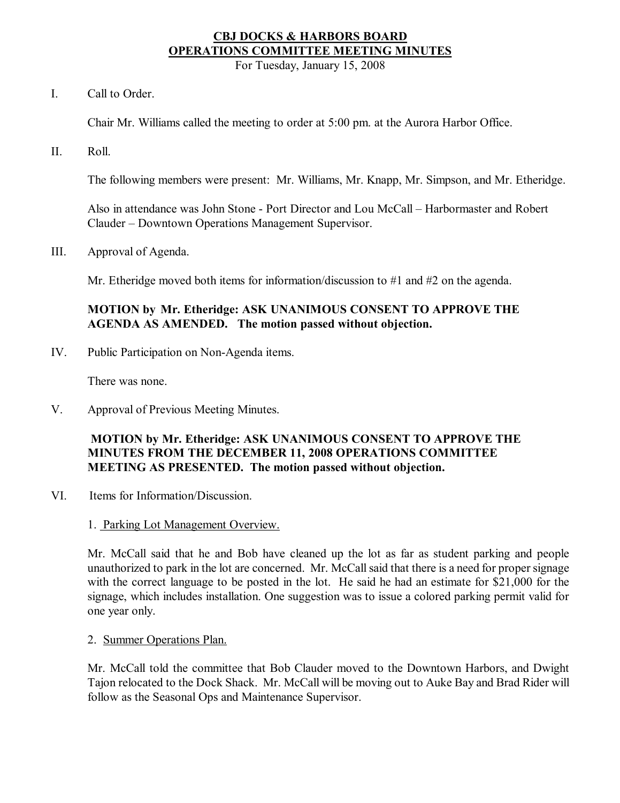# **CBJ DOCKS & HARBORS BOARD OPERATIONS COMMITTEE MEETING MINUTES**

For Tuesday, January 15, 2008

I. Call to Order.

Chair Mr. Williams called the meeting to order at 5:00 pm. at the Aurora Harbor Office.

II. Roll.

The following members were present: Mr. Williams, Mr. Knapp, Mr. Simpson, and Mr. Etheridge.

Also in attendance was John Stone Port Director and Lou McCall – Harbormaster and Robert Clauder – Downtown Operations Management Supervisor.

III. Approval of Agenda.

Mr. Etheridge moved both items for information/discussion to #1 and #2 on the agenda.

### **MOTION by Mr. Etheridge: ASK UNANIMOUS CONSENT TO APPROVE THE AGENDA AS AMENDED. The motion passed without objection.**

IV. Public Participation on Non-Agenda items.

There was none.

V. Approval of Previous Meeting Minutes.

# **MOTION by Mr. Etheridge: ASK UNANIMOUS CONSENT TO APPROVE THE MINUTES FROM THE DECEMBER 11, 2008 OPERATIONS COMMITTEE MEETING AS PRESENTED. The motion passed without objection.**

- VI. Items for Information/Discussion.
	- 1. Parking Lot Management Overview.

Mr. McCall said that he and Bob have cleaned up the lot as far as student parking and people unauthorized to park in the lot are concerned. Mr. McCall said that there is a need for proper signage with the correct language to be posted in the lot. He said he had an estimate for \$21,000 for the signage, which includes installation. One suggestion was to issue a colored parking permit valid for one year only.

2. Summer Operations Plan.

Mr. McCall told the committee that Bob Clauder moved to the Downtown Harbors, and Dwight Tajon relocated to the Dock Shack. Mr. McCall will be moving out to Auke Bay and Brad Rider will follow as the Seasonal Ops and Maintenance Supervisor.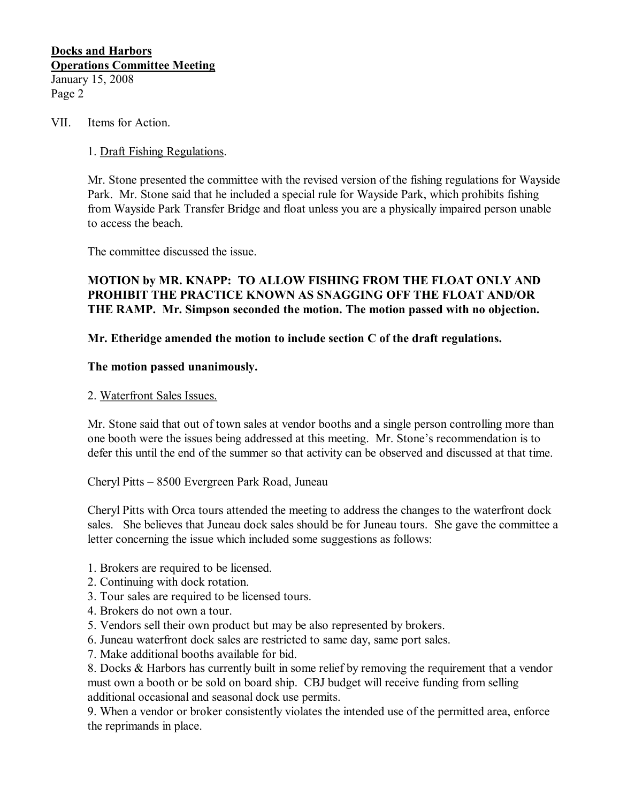### **Docks and Harbors Operations Committee Meeting** January 15, 2008 Page 2

### VII. Items for Action.

#### 1. Draft Fishing Regulations.

Mr. Stone presented the committee with the revised version of the fishing regulations for Wayside Park. Mr. Stone said that he included a special rule for Wayside Park, which prohibits fishing from Wayside Park Transfer Bridge and float unless you are a physically impaired person unable to access the beach.

The committee discussed the issue.

### **MOTION by MR. KNAPP: TO ALLOW FISHING FROM THE FLOAT ONLY AND PROHIBIT THE PRACTICE KNOWN AS SNAGGING OFF THE FLOAT AND/OR THE RAMP. Mr. Simpson seconded the motion. The motion passed with no objection.**

### **Mr. Etheridge amended the motion to include section C of the draft regulations.**

#### **The motion passed unanimously.**

#### 2. Waterfront Sales Issues.

Mr. Stone said that out of town sales at vendor booths and a single person controlling more than one booth were the issues being addressed at this meeting. Mr. Stone's recommendation is to defer this until the end of the summer so that activity can be observed and discussed at that time.

Cheryl Pitts – 8500 Evergreen Park Road, Juneau

Cheryl Pitts with Orca tours attended the meeting to address the changes to the waterfront dock sales. She believes that Juneau dock sales should be for Juneau tours. She gave the committee a letter concerning the issue which included some suggestions as follows:

- 1. Brokers are required to be licensed.
- 2. Continuing with dock rotation.
- 3. Tour sales are required to be licensed tours.
- 4. Brokers do not own a tour.
- 5. Vendors sell their own product but may be also represented by brokers.
- 6. Juneau waterfront dock sales are restricted to same day, same port sales.
- 7. Make additional booths available for bid.

8. Docks & Harbors has currently built in some relief by removing the requirement that a vendor must own a booth or be sold on board ship. CBJ budget will receive funding from selling additional occasional and seasonal dock use permits.

9. When a vendor or broker consistently violates the intended use of the permitted area, enforce the reprimands in place.